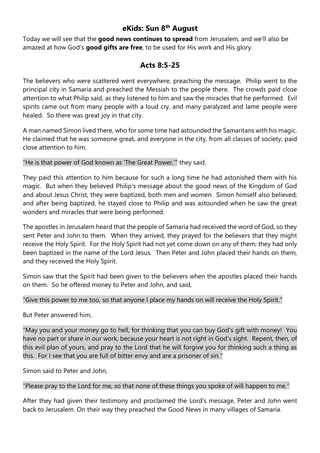# **eKids: Sun 8 th August**

Today we will see that the **good news continues to spread** from Jerusalem, and we'll also be amazed at how God's **good gifts are free**, to be used for His work and His glory.

# **Acts 8:5-25**

The believers who were scattered went everywhere, preaching the message. Philip went to the principal city in Samaria and preached the Messiah to the people there. The crowds paid close attention to what Philip said, as they listened to him and saw the miracles that he performed. Evil spirits came out from many people with a loud cry, and many paralyzed and lame people were healed. So there was great joy in that city.

A man named Simon lived there, who for some time had astounded the Samaritans with his magic. He claimed that he was someone great, and everyone in the city, from all classes of society, paid close attention to him.

"He is that power of God known as 'The Great Power,'" they said.

They paid this attention to him because for such a long time he had astonished them with his magic. But when they believed Philip's message about the good news of the Kingdom of God and about Jesus Christ, they were baptized, both men and women. Simon himself also believed; and after being baptized, he stayed close to Philip and was astounded when he saw the great wonders and miracles that were being performed.

The apostles in Jerusalem heard that the people of Samaria had received the word of God, so they sent Peter and John to them. When they arrived, they prayed for the believers that they might receive the Holy Spirit. For the Holy Spirit had not yet come down on any of them; they had only been baptized in the name of the Lord Jesus. Then Peter and John placed their hands on them, and they received the Holy Spirit.

Simon saw that the Spirit had been given to the believers when the apostles placed their hands on them. So he offered money to Peter and John, and said,

# "Give this power to me too, so that anyone I place my hands on will receive the Holy Spirit."

But Peter answered him,

"May you and your money go to hell, for thinking that you can buy God's gift with money! You have no part or share in our work, because your heart is not right in God's sight. Repent, then, of this evil plan of yours, and pray to the Lord that he will forgive you for thinking such a thing as this. For I see that you are full of bitter envy and are a prisoner of sin."

Simon said to Peter and John,

"Please pray to the Lord for me, so that none of these things you spoke of will happen to me."

After they had given their testimony and proclaimed the Lord's message, Peter and John went back to Jerusalem. On their way they preached the Good News in many villages of Samaria.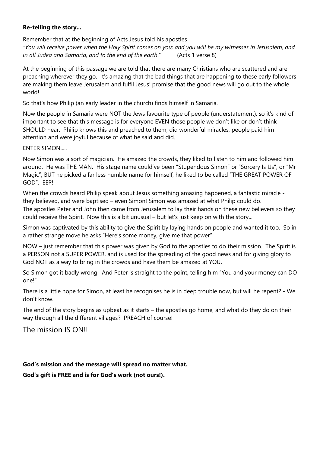### **Re-telling the story...**

Remember that at the beginning of Acts Jesus told his apostles *"You will receive power when the Holy Spirit comes on you; and you will be my witnesses in Jerusalem, and in all Judea and Samaria, and to the end of the earth*." (Acts 1 verse 8)

At the beginning of this passage we are told that there are many Christians who are scattered and are preaching wherever they go. It's amazing that the bad things that are happening to these early followers are making them leave Jerusalem and fulfil Jesus' promise that the good news will go out to the whole world!

So that's how Philip (an early leader in the church) finds himself in Samaria.

Now the people in Samaria were NOT the Jews favourite type of people (understatement), so it's kind of important to see that this message is for everyone EVEN those people we don't like or don't think SHOULD hear. Philip knows this and preached to them, did wonderful miracles, people paid him attention and were joyful because of what he said and did.

ENTER SIMON.....

Now Simon was a sort of magician. He amazed the crowds, they liked to listen to him and followed him around. He was THE MAN. His stage name could've been "Stupendous Simon" or "Sorcery Is Us", or "Mr Magic", BUT he picked a far less humble name for himself, he liked to be called "THE GREAT POWER OF GOD". EEP!

When the crowds heard Philip speak about Jesus something amazing happened, a fantastic miracle they believed, and were baptised – even Simon! Simon was amazed at what Philip could do. The apostles Peter and John then came from Jerusalem to lay their hands on these new believers so they could receive the Spirit. Now this is a bit unusual – but let's just keep on with the story...

Simon was captivated by this ability to give the Spirit by laying hands on people and wanted it too. So in a rather strange move he asks "Here's some money, give me that power"

NOW – just remember that this power was given by God to the apostles to do their mission. The Spirit is a PERSON not a SUPER POWER, and is used for the spreading of the good news and for giving glory to God NOT as a way to bring in the crowds and have them be amazed at YOU.

So Simon got it badly wrong. And Peter is straight to the point, telling him "You and your money can DO one!"

There is a little hope for Simon, at least he recognises he is in deep trouble now, but will he repent? - We don't know.

The end of the story begins as upbeat as it starts – the apostles go home, and what do they do on their way through all the different villages? PREACH of course!

The mission IS ON!!

### **God's mission and the message will spread no matter what.**

**God's gift is FREE and is for God's work (not ours!).**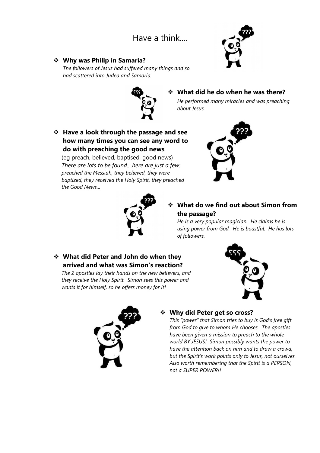# Have a think....

## ❖ **Why was Philip in Samaria?**

*The followers of Jesus had suffered many things and so had scattered into Judea and Samaria.*





# ❖ **What did he do when he was there?**

*He performed many miracles and was preaching about Jesus.*

❖ **Have a look through the passage and see how many times you can see any word to do with preaching the good news** 

(eg preach, believed, baptised, good news) *There are lots to be found....here are just a few: preached the Messiah, they believed, they were baptized, they received the Holy Spirit, they preached the Good News...*





# ❖ **What do we find out about Simon from the passage?**

*He is a very popular magician. He claims he is using power from God. He is boastful. He has lots of followers.*

## ❖ **What did Peter and John do when they arrived and what was Simon's reaction?**

*The 2 apostles lay their hands on the new believers, and they receive the Holy Spirit. Simon sees this power and wants it for himself, so he offers money for it!*



## ❖ **Why did Peter get so cross?**

*This "power" that Simon tries to buy is God's free gift from God to give to whom He chooses. The apostles have been given a mission to preach to the whole world BY JESUS! Simon possibly wants the power to have the attention back on him and to draw a crowd, but the Spirit's work points only to Jesus, not ourselves. Also worth remembering that the Spirit is a PERSON, not a SUPER POWER!!*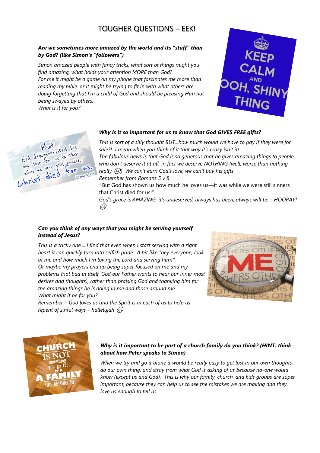# TOUGHER QUESTIONS – EEK!

### *Are we sometimes more amazed by the world and its "stuff" than by God? (like Simon's "followers")*

*Simon amazed people with fancy tricks, what sort of things might you find amazing, what holds your attention MORE than God? For me it might be a game on my phone that fascinates me more than reading my bible. or it might be trying to fit in with what others are doing forgetting that I'm a child of God and should be pleasing Him not being swayed by others. What is it for you?*





#### *Why is it so important for us to know that God GIVES FREE gifts?*

*This is sort of a silly thought BUT...how much would we have to pay if they were for sale?! I mean when you think of it that way it's crazy isn't it!* 

*The fabulous news is that God is so generous that he gives amazing things to people*  who don't deserve it at all, in fact we deserve NOTHING (well, worse than nothing *really* ☹*) We can't earn God's love, we can't buy his gifts. Remember from Romans 5 v 8*

*"* But God has shown us how much he loves us—it was while we were still sinners that Christ died for us!"

*God's grace is AMAZING, it's undeserved, always has been, always will be – HOORAY!* ه ک

#### *Can you think of any ways that you might be serving yourself instead of Jesus?*

*This is a tricky one.....I find that even when I start serving with a right heart it can quickly turn into selfish pride. A bit like "hey everyone, look at me and how much I'm loving the Lord and serving him!" Or maybe my prayers end up being super focused on me and my problems (not bad in itself, God our Father wants to hear our inner most desires and thoughts), rather than praising God and thanking him for the amazing things he is doing in me and those around me. What might it be for you?*







#### *Why is it important to be part of a church family do you think? (HINT: think about how Peter speaks to Simon)*

*When we try and go it alone it would be really easy to get lost in our own thoughts, do our own thing, and stray from what God is asking of us because no-one would know (except us and God). This is why our family, church, and kids groups are super important, because they can help us to see the mistakes we are making and they love us enough to tell us.*